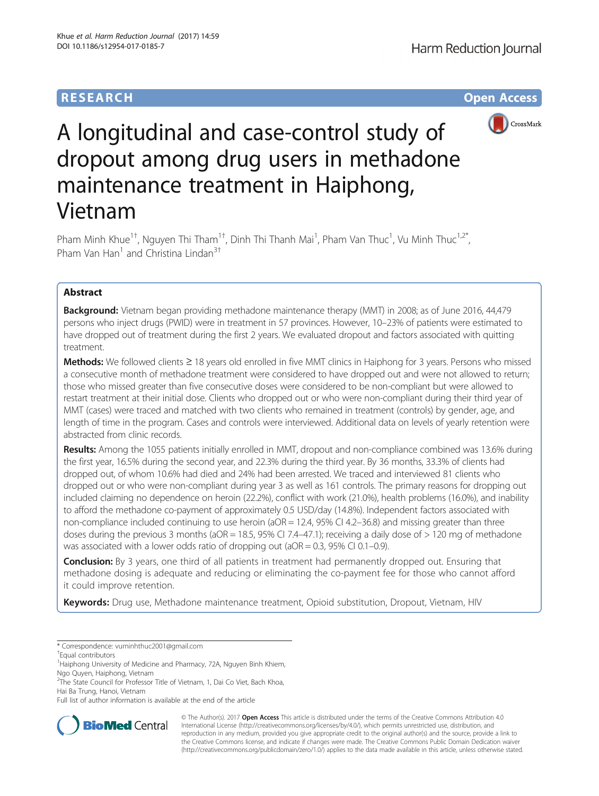# **RESEARCH CHE Open Access**



# A longitudinal and case-control study of dropout among drug users in methadone maintenance treatment in Haiphong, Vietnam

Pham Minh Khue<sup>1†</sup>, Nguyen Thi Tham<sup>1†</sup>, Dinh Thi Thanh Mai<sup>1</sup>, Pham Van Thuc<sup>1</sup>, Vu Minh Thuc<sup>1,2\*</sup>, Pham Van Han<sup>1</sup> and Christina Lindan<sup>3†</sup>

# Abstract

**Background:** Vietnam began providing methadone maintenance therapy (MMT) in 2008; as of June 2016, 44,479 persons who inject drugs (PWID) were in treatment in 57 provinces. However, 10–23% of patients were estimated to have dropped out of treatment during the first 2 years. We evaluated dropout and factors associated with quitting treatment.

Methods: We followed clients ≥ 18 years old enrolled in five MMT clinics in Haiphong for 3 years. Persons who missed a consecutive month of methadone treatment were considered to have dropped out and were not allowed to return; those who missed greater than five consecutive doses were considered to be non-compliant but were allowed to restart treatment at their initial dose. Clients who dropped out or who were non-compliant during their third year of MMT (cases) were traced and matched with two clients who remained in treatment (controls) by gender, age, and length of time in the program. Cases and controls were interviewed. Additional data on levels of yearly retention were abstracted from clinic records.

Results: Among the 1055 patients initially enrolled in MMT, dropout and non-compliance combined was 13.6% during the first year, 16.5% during the second year, and 22.3% during the third year. By 36 months, 33.3% of clients had dropped out, of whom 10.6% had died and 24% had been arrested. We traced and interviewed 81 clients who dropped out or who were non-compliant during year 3 as well as 161 controls. The primary reasons for dropping out included claiming no dependence on heroin (22.2%), conflict with work (21.0%), health problems (16.0%), and inability to afford the methadone co-payment of approximately 0.5 USD/day (14.8%). Independent factors associated with non-compliance included continuing to use heroin (aOR = 12.4, 95% CI 4.2–36.8) and missing greater than three doses during the previous 3 months (aOR = 18.5, 95% CI 7.4–47.1); receiving a daily dose of > 120 mg of methadone was associated with a lower odds ratio of dropping out ( $aOR = 0.3$ ,  $95\%$  CI 0.1–0.9).

**Conclusion:** By 3 years, one third of all patients in treatment had permanently dropped out. Ensuring that methadone dosing is adequate and reducing or eliminating the co-payment fee for those who cannot afford it could improve retention.

Keywords: Drug use, Methadone maintenance treatment, Opioid substitution, Dropout, Vietnam, HIV

<sup>2</sup>The State Council for Professor Title of Vietnam, 1, Dai Co Viet, Bach Khoa,

Full list of author information is available at the end of the article



© The Author(s). 2017 **Open Access** This article is distributed under the terms of the Creative Commons Attribution 4.0 International License [\(http://creativecommons.org/licenses/by/4.0/](http://creativecommons.org/licenses/by/4.0/)), which permits unrestricted use, distribution, and reproduction in any medium, provided you give appropriate credit to the original author(s) and the source, provide a link to the Creative Commons license, and indicate if changes were made. The Creative Commons Public Domain Dedication waiver [\(http://creativecommons.org/publicdomain/zero/1.0/](http://creativecommons.org/publicdomain/zero/1.0/)) applies to the data made available in this article, unless otherwise stated.

<sup>\*</sup> Correspondence: [vuminhthuc2001@gmail.com](mailto:vuminhthuc2001@gmail.com) †

Equal contributors

<sup>&</sup>lt;sup>1</sup> Haiphong University of Medicine and Pharmacy, 72A, Nguyen Binh Khiem, Ngo Quyen, Haiphong, Vietnam

Hai Ba Trung, Hanoi, Vietnam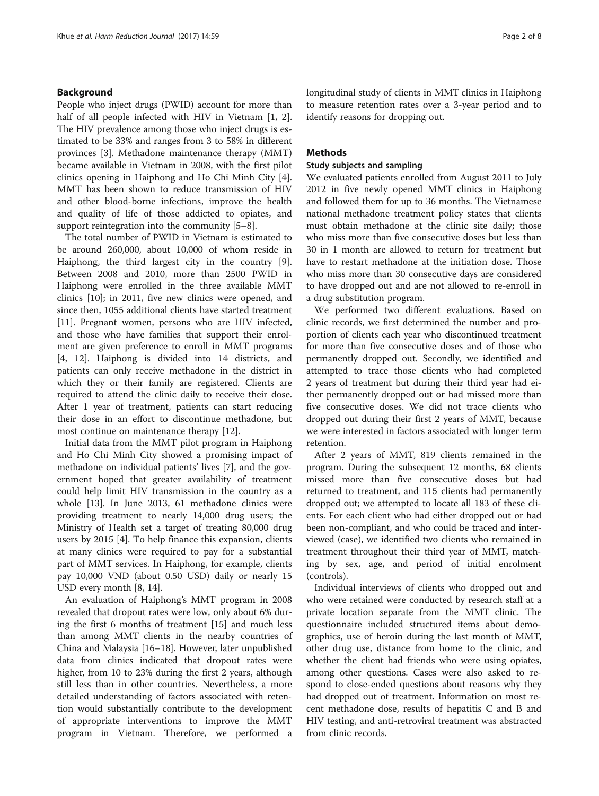# Background

People who inject drugs (PWID) account for more than half of all people infected with HIV in Vietnam [[1, 2](#page-7-0)]. The HIV prevalence among those who inject drugs is estimated to be 33% and ranges from 3 to 58% in different provinces [\[3](#page-7-0)]. Methadone maintenance therapy (MMT) became available in Vietnam in 2008, with the first pilot clinics opening in Haiphong and Ho Chi Minh City [\[4](#page-7-0)]. MMT has been shown to reduce transmission of HIV and other blood-borne infections, improve the health and quality of life of those addicted to opiates, and support reintegration into the community [[5](#page-7-0)–[8](#page-7-0)].

The total number of PWID in Vietnam is estimated to be around 260,000, about 10,000 of whom reside in Haiphong, the third largest city in the country [\[9](#page-7-0)]. Between 2008 and 2010, more than 2500 PWID in Haiphong were enrolled in the three available MMT clinics [[10](#page-7-0)]; in 2011, five new clinics were opened, and since then, 1055 additional clients have started treatment [[11\]](#page-7-0). Pregnant women, persons who are HIV infected, and those who have families that support their enrolment are given preference to enroll in MMT programs [[4, 12\]](#page-7-0). Haiphong is divided into 14 districts, and patients can only receive methadone in the district in which they or their family are registered. Clients are required to attend the clinic daily to receive their dose. After 1 year of treatment, patients can start reducing their dose in an effort to discontinue methadone, but most continue on maintenance therapy [[12\]](#page-7-0).

Initial data from the MMT pilot program in Haiphong and Ho Chi Minh City showed a promising impact of methadone on individual patients' lives [[7\]](#page-7-0), and the government hoped that greater availability of treatment could help limit HIV transmission in the country as a whole [\[13](#page-7-0)]. In June 2013, 61 methadone clinics were providing treatment to nearly 14,000 drug users; the Ministry of Health set a target of treating 80,000 drug users by 2015 [\[4\]](#page-7-0). To help finance this expansion, clients at many clinics were required to pay for a substantial part of MMT services. In Haiphong, for example, clients pay 10,000 VND (about 0.50 USD) daily or nearly 15 USD every month [[8, 14](#page-7-0)].

An evaluation of Haiphong's MMT program in 2008 revealed that dropout rates were low, only about 6% during the first 6 months of treatment [[15\]](#page-7-0) and much less than among MMT clients in the nearby countries of China and Malaysia [[16](#page-7-0)–[18\]](#page-7-0). However, later unpublished data from clinics indicated that dropout rates were higher, from 10 to 23% during the first 2 years, although still less than in other countries. Nevertheless, a more detailed understanding of factors associated with retention would substantially contribute to the development of appropriate interventions to improve the MMT program in Vietnam. Therefore, we performed a longitudinal study of clients in MMT clinics in Haiphong to measure retention rates over a 3-year period and to identify reasons for dropping out.

# Methods

# Study subjects and sampling

We evaluated patients enrolled from August 2011 to July 2012 in five newly opened MMT clinics in Haiphong and followed them for up to 36 months. The Vietnamese national methadone treatment policy states that clients must obtain methadone at the clinic site daily; those who miss more than five consecutive doses but less than 30 in 1 month are allowed to return for treatment but have to restart methadone at the initiation dose. Those who miss more than 30 consecutive days are considered to have dropped out and are not allowed to re-enroll in a drug substitution program.

We performed two different evaluations. Based on clinic records, we first determined the number and proportion of clients each year who discontinued treatment for more than five consecutive doses and of those who permanently dropped out. Secondly, we identified and attempted to trace those clients who had completed 2 years of treatment but during their third year had either permanently dropped out or had missed more than five consecutive doses. We did not trace clients who dropped out during their first 2 years of MMT, because we were interested in factors associated with longer term retention.

After 2 years of MMT, 819 clients remained in the program. During the subsequent 12 months, 68 clients missed more than five consecutive doses but had returned to treatment, and 115 clients had permanently dropped out; we attempted to locate all 183 of these clients. For each client who had either dropped out or had been non-compliant, and who could be traced and interviewed (case), we identified two clients who remained in treatment throughout their third year of MMT, matching by sex, age, and period of initial enrolment (controls).

Individual interviews of clients who dropped out and who were retained were conducted by research staff at a private location separate from the MMT clinic. The questionnaire included structured items about demographics, use of heroin during the last month of MMT, other drug use, distance from home to the clinic, and whether the client had friends who were using opiates, among other questions. Cases were also asked to respond to close-ended questions about reasons why they had dropped out of treatment. Information on most recent methadone dose, results of hepatitis C and B and HIV testing, and anti-retroviral treatment was abstracted from clinic records.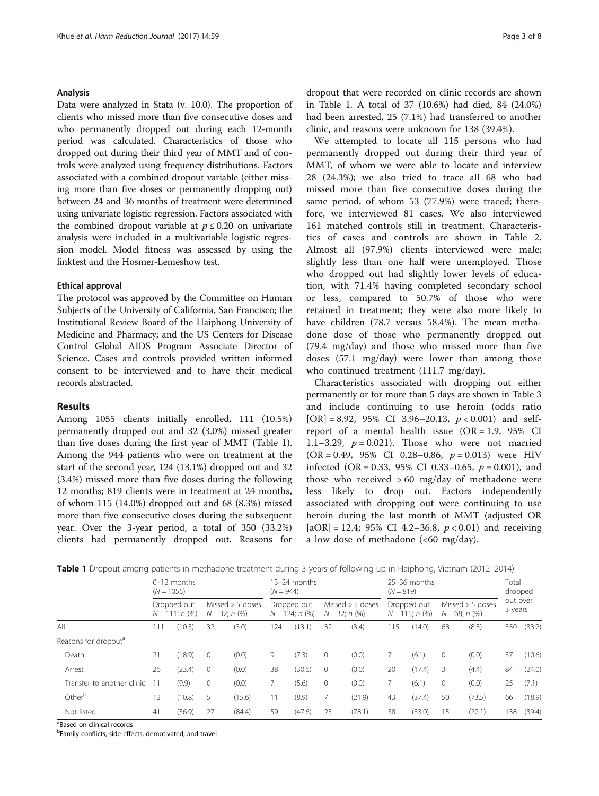## Analysis

Data were analyzed in Stata (v. 10.0). The proportion of clients who missed more than five consecutive doses and who permanently dropped out during each 12-month period was calculated. Characteristics of those who dropped out during their third year of MMT and of controls were analyzed using frequency distributions. Factors associated with a combined dropout variable (either missing more than five doses or permanently dropping out) between 24 and 36 months of treatment were determined using univariate logistic regression. Factors associated with the combined dropout variable at  $p \leq 0.20$  on univariate analysis were included in a multivariable logistic regression model. Model fitness was assessed by using the linktest and the Hosmer-Lemeshow test.

## Ethical approval

The protocol was approved by the Committee on Human Subjects of the University of California, San Francisco; the Institutional Review Board of the Haiphong University of Medicine and Pharmacy; and the US Centers for Disease Control Global AIDS Program Associate Director of Science. Cases and controls provided written informed consent to be interviewed and to have their medical records abstracted.

# Results

Among 1055 clients initially enrolled, 111 (10.5%) permanently dropped out and 32 (3.0%) missed greater than five doses during the first year of MMT (Table 1). Among the 944 patients who were on treatment at the start of the second year, 124 (13.1%) dropped out and 32 (3.4%) missed more than five doses during the following 12 months; 819 clients were in treatment at 24 months, of whom 115 (14.0%) dropped out and 68 (8.3%) missed more than five consecutive doses during the subsequent year. Over the 3-year period, a total of 350 (33.2%) clients had permanently dropped out. Reasons for dropout that were recorded on clinic records are shown in Table 1. A total of 37 (10.6%) had died, 84 (24.0%) had been arrested, 25 (7.1%) had transferred to another clinic, and reasons were unknown for 138 (39.4%).

We attempted to locate all 115 persons who had permanently dropped out during their third year of MMT, of whom we were able to locate and interview 28 (24.3%); we also tried to trace all 68 who had missed more than five consecutive doses during the same period, of whom 53 (77.9%) were traced; therefore, we interviewed 81 cases. We also interviewed 161 matched controls still in treatment. Characteristics of cases and controls are shown in Table [2](#page-3-0). Almost all (97.9%) clients interviewed were male; slightly less than one half were unemployed. Those who dropped out had slightly lower levels of education, with 71.4% having completed secondary school or less, compared to 50.7% of those who were retained in treatment; they were also more likely to have children (78.7 versus 58.4%). The mean methadone dose of those who permanently dropped out (79.4 mg/day) and those who missed more than five doses (57.1 mg/day) were lower than among those who continued treatment (111.7 mg/day).

Characteristics associated with dropping out either permanently or for more than 5 days are shown in Table [3](#page-4-0) and include continuing to use heroin (odds ratio  $[OR] = 8.92$ , 95% CI 3.96–20.13,  $p < 0.001$  and selfreport of a mental health issue  $(OR = 1.9, 95\% \text{ CI})$ 1.1–3.29,  $p = 0.021$ ). Those who were not married  $(OR = 0.49, 95\% \text{ CI } 0.28-0.86, p = 0.013)$  were HIV infected (OR = 0.33, 95% CI 0.33–0.65,  $p = 0.001$ ), and those who received  $>60$  mg/day of methadone were less likely to drop out. Factors independently associated with dropping out were continuing to use heroin during the last month of MMT (adjusted OR  $[aOR] = 12.4$ ; 95% CI 4.2–36.8,  $p < 0.01$ ) and receiving a low dose of methadone (<60 mg/day).

|                                  | $(N = 1055)$ | $0-12$ months                   |              |                                       | $(N = 944)$ | 13–24 months                    |              |                                       | $(N = 819)$ | $25-36$ months                      |              |                                           | Total<br>dropped    |        |
|----------------------------------|--------------|---------------------------------|--------------|---------------------------------------|-------------|---------------------------------|--------------|---------------------------------------|-------------|-------------------------------------|--------------|-------------------------------------------|---------------------|--------|
|                                  |              | Dropped out<br>$N = 111; n (%)$ |              | Missed $>$ 5 doses<br>$N = 32; n (%)$ |             | Dropped out<br>$N = 124; n$ (%) |              | Missed $>$ 5 doses<br>$N = 32; n (%)$ |             | Dropped out<br>$N = 115$ ; n $(\%)$ |              | Missed $>$ 5 doses<br>$N = 68$ ; n $(\%)$ | out over<br>3 years |        |
| All                              | 111          | (10.5)                          | 32           | (3.0)                                 | 124         | (13.1)                          | 32           | (3.4)                                 | 115         | (14.0)                              | 68           | (8.3)                                     | 350                 | (33.2) |
| Reasons for dropout <sup>d</sup> |              |                                 |              |                                       |             |                                 |              |                                       |             |                                     |              |                                           |                     |        |
| Death                            | 21           | (18.9)                          | $\Omega$     | (0.0)                                 | 9           | (7.3)                           | $\Omega$     | (0.0)                                 |             | (6.1)                               | $\mathbf{0}$ | (0.0)                                     | 37                  | (10.6) |
| Arrest                           | 26           | (23.4)                          | $\mathbf 0$  | (0.0)                                 | 38          | (30.6)                          | $\mathbf{0}$ | (0.0)                                 | 20          | (17.4)                              | 3            | (4.4)                                     | 84                  | (24.0) |
| Transfer to another clinic       |              | (9.9)                           | $\mathbf{0}$ | (0.0)                                 |             | (5.6)                           | $\mathbf 0$  | (0.0)                                 |             | (6.1)                               | $\mathbf{0}$ | (0.0)                                     | 25                  | (7.1)  |
| Other <sup>b</sup>               | 12           | (10.8)                          |              | (15.6)                                | 11          | (8.9)                           |              | (21.9)                                | 43          | (37.4)                              | 50           | (73.5)                                    | 66                  | (18.9) |
| Not listed                       | 41           | (36.9)                          | 27           | (84.4)                                | 59          | (47.6)                          | 25           | (78.1)                                | 38          | (33.0)                              | 15           | (22.1)                                    | 138                 | (39.4) |

Table 1 Dropout among patients in methadone treatment during 3 years of following-up in Haiphong, Vietnam (2012–2014)

<sup>a</sup>Based on clinical records

<sup>b</sup>Family conflicts, side effects, demotivated, and travel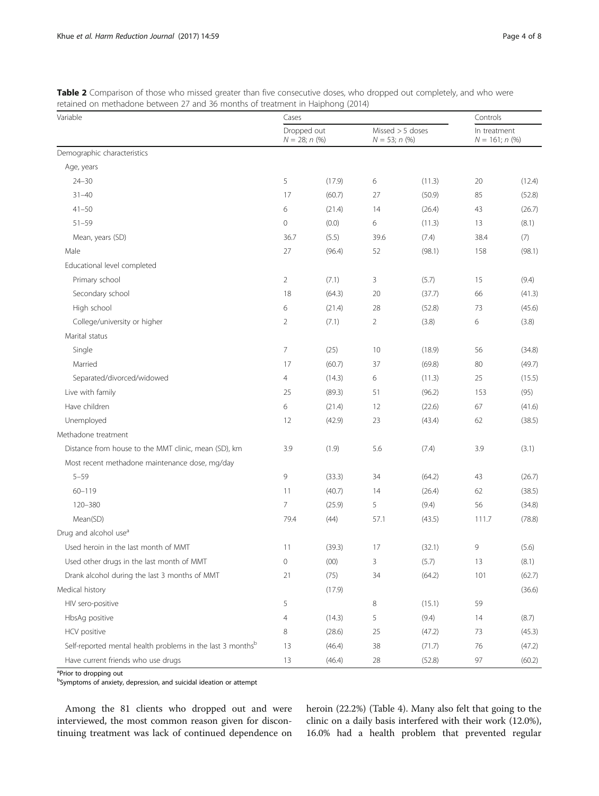| Variable                                                   | Cases                          |        | Controls                              |        |                                  |        |
|------------------------------------------------------------|--------------------------------|--------|---------------------------------------|--------|----------------------------------|--------|
|                                                            | Dropped out<br>$N = 28; n (%)$ |        | $Missed > 5$ doses<br>$N = 53; n (%)$ |        | In treatment<br>$N = 161; n (%)$ |        |
| Demographic characteristics                                |                                |        |                                       |        |                                  |        |
| Age, years                                                 |                                |        |                                       |        |                                  |        |
| $24 - 30$                                                  | 5                              | (17.9) | 6                                     | (11.3) | 20                               | (12.4) |
| $31 - 40$                                                  | 17                             | (60.7) | 27                                    | (50.9) | 85                               | (52.8) |
| $41 - 50$                                                  | 6                              | (21.4) | 14                                    | (26.4) | 43                               | (26.7) |
| $51 - 59$                                                  | $\mathbf 0$                    | (0.0)  | 6                                     | (11.3) | 13                               | (8.1)  |
| Mean, years (SD)                                           | 36.7                           | (5.5)  | 39.6                                  | (7.4)  | 38.4                             | (7)    |
| Male                                                       | 27                             | (96.4) | 52                                    | (98.1) | 158                              | (98.1) |
| Educational level completed                                |                                |        |                                       |        |                                  |        |
| Primary school                                             | $\overline{2}$                 | (7.1)  | 3                                     | (5.7)  | 15                               | (9.4)  |
| Secondary school                                           | 18                             | (64.3) | 20                                    | (37.7) | 66                               | (41.3) |
| High school                                                | 6                              | (21.4) | 28                                    | (52.8) | 73                               | (45.6) |
| College/university or higher                               | $\overline{2}$                 | (7.1)  | $\overline{2}$                        | (3.8)  | 6                                | (3.8)  |
| Marital status                                             |                                |        |                                       |        |                                  |        |
| Single                                                     | $\overline{7}$                 | (25)   | 10                                    | (18.9) | 56                               | (34.8) |
| Married                                                    | 17                             | (60.7) | 37                                    | (69.8) | 80                               | (49.7) |
| Separated/divorced/widowed                                 | $\overline{4}$                 | (14.3) | 6                                     | (11.3) | 25                               | (15.5) |
| Live with family                                           | 25                             | (89.3) | 51                                    | (96.2) | 153                              | (95)   |
| Have children                                              | 6                              | (21.4) | 12                                    | (22.6) | 67                               | (41.6) |
| Unemployed                                                 | 12                             | (42.9) | 23                                    | (43.4) | 62                               | (38.5) |
| Methadone treatment                                        |                                |        |                                       |        |                                  |        |
| Distance from house to the MMT clinic, mean (SD), km       | 3.9                            | (1.9)  | 5.6                                   | (7.4)  | 3.9                              | (3.1)  |
| Most recent methadone maintenance dose, mg/day             |                                |        |                                       |        |                                  |        |
| $5 - 59$                                                   | 9                              | (33.3) | 34                                    | (64.2) | 43                               | (26.7) |
| $60 - 119$                                                 | 11                             | (40.7) | 14                                    | (26.4) | 62                               | (38.5) |
| 120-380                                                    | $\overline{7}$                 | (25.9) | 5                                     | (9.4)  | 56                               | (34.8) |
| Mean(SD)                                                   | 79.4                           | (44)   | 57.1                                  | (43.5) | 111.7                            | (78.8) |
| Drug and alcohol use <sup>a</sup>                          |                                |        |                                       |        |                                  |        |
| Used heroin in the last month of MMT                       | 11                             | (39.3) | 17                                    | (32.1) | 9                                | (5.6)  |
| Used other drugs in the last month of MMT                  | 0                              | (00)   | 3                                     | (5.7)  | 13                               | (8.1)  |
| Drank alcohol during the last 3 months of MMT              | 21                             | (75)   | 34                                    | (64.2) | 101                              | (62.7) |
| Medical history                                            |                                | (17.9) |                                       |        |                                  | (36.6) |
| HIV sero-positive                                          | 5                              |        | 8                                     | (15.1) | 59                               |        |
| HbsAg positive                                             | $\overline{4}$                 | (14.3) | 5                                     | (9.4)  | 14                               | (8.7)  |
| HCV positive                                               | 8                              | (28.6) | 25                                    | (47.2) | 73                               | (45.3) |
| Self-reported mental health problems in the last 3 monthsb | 13                             | (46.4) | 38                                    | (71.7) | 76                               | (47.2) |
| Have current friends who use drugs                         | 13                             | (46.4) | 28                                    | (52.8) | 97                               | (60.2) |

<span id="page-3-0"></span>Table 2 Comparison of those who missed greater than five consecutive doses, who dropped out completely, and who were retained on methadone between 27 and 36 months of treatment in Haiphong (2014)

<sup>a</sup>Prior to dropping out

b Symptoms of anxiety, depression, and suicidal ideation or attempt

Among the 81 clients who dropped out and were interviewed, the most common reason given for discontinuing treatment was lack of continued dependence on heroin (22.2%) (Table [4](#page-5-0)). Many also felt that going to the clinic on a daily basis interfered with their work (12.0%), 16.0% had a health problem that prevented regular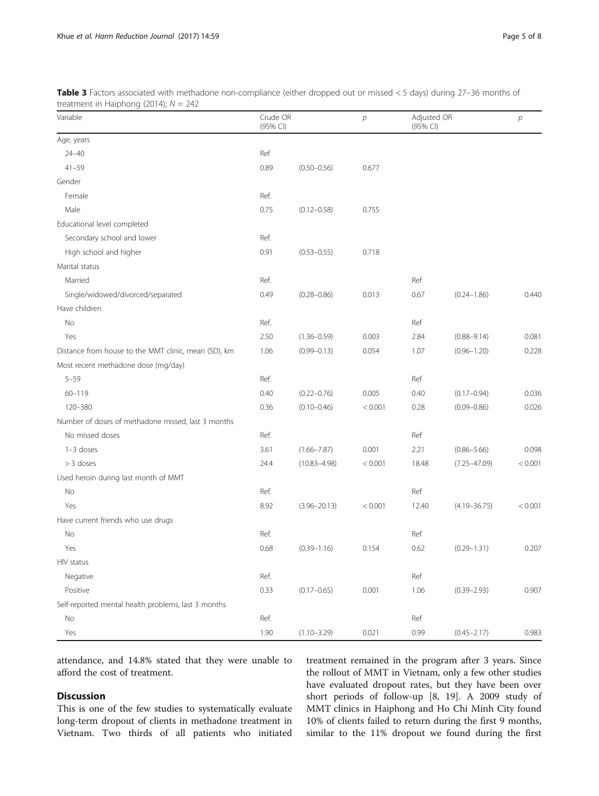| Page 5 o |  |
|----------|--|
|          |  |

<span id="page-4-0"></span>

| <b>Table 3</b> Factors associated with methadone non-compliance (either dropped out or missed < 5 days) during 27–36 months of |  |  |
|--------------------------------------------------------------------------------------------------------------------------------|--|--|
| treatment in Haiphong (2014); $N = 242$                                                                                        |  |  |

| Variable                                             | Crude OR<br>(95% CI) |                  | $\overline{p}$ | Adjusted OR<br>(95% CI) |                  | $\overline{p}$ |
|------------------------------------------------------|----------------------|------------------|----------------|-------------------------|------------------|----------------|
| Age, years                                           |                      |                  |                |                         |                  |                |
| $24 - 40$                                            | Ref                  |                  |                |                         |                  |                |
| $41 - 59$                                            | 0.89                 | $(0.50 - 0.56)$  | 0.677          |                         |                  |                |
| Gender                                               |                      |                  |                |                         |                  |                |
| Female                                               | Ref.                 |                  |                |                         |                  |                |
| Male                                                 | 0.75                 | $(0.12 - 0.58)$  | 0.755          |                         |                  |                |
| Educational level completed                          |                      |                  |                |                         |                  |                |
| Secondary school and lower                           | Ref.                 |                  |                |                         |                  |                |
| High school and higher                               | 0.91                 | $(0.53 - 0.55)$  | 0.718          |                         |                  |                |
| Marital status                                       |                      |                  |                |                         |                  |                |
| Married                                              | Ref.                 |                  |                | Ref                     |                  |                |
| Single/widowed/divorced/separated                    | 0.49                 | $(0.28 - 0.86)$  | 0.013          | 0.67                    | $(0.24 - 1.86)$  | 0.440          |
| Have children                                        |                      |                  |                |                         |                  |                |
| No                                                   | Ref.                 |                  |                | Ref                     |                  |                |
| Yes                                                  | 2.50                 | $(1.36 - 0.59)$  | 0.003          | 2.84                    | $(0.88 - 9.14)$  | 0.081          |
| Distance from house to the MMT clinic, mean (SD), km | 1.06                 | $(0.99 - 0.13)$  | 0.054          | 1.07                    | $(0.96 - 1.20)$  | 0.228          |
| Most recent methadone dose (mg/day)                  |                      |                  |                |                         |                  |                |
| $5 - 59$                                             | Ref.                 |                  |                | Ref                     |                  |                |
| $60 - 119$                                           | 0.40                 | $(0.22 - 0.76)$  | 0.005          | 0.40                    | $(0.17 - 0.94)$  | 0.036          |
| 120-380                                              | 0.36                 | $(0.10 - 0.46)$  | < 0.001        | 0.28                    | $(0.09 - 0.86)$  | 0.026          |
| Number of doses of methadone missed, last 3 months   |                      |                  |                |                         |                  |                |
| No missed doses                                      | Ref.                 |                  |                | Ref                     |                  |                |
| $1-3$ doses                                          | 3.61                 | $(1.66 - 7.87)$  | 0.001          | 2.21                    | $(0.86 - 5.66)$  | 0.098          |
| $>$ 3 doses                                          | 24.4                 | $(10.83 - 4.98)$ | < 0.001        | 18.48                   | $(7.25 - 47.09)$ | < 0.001        |
| Used heroin during last month of MMT                 |                      |                  |                |                         |                  |                |
| No                                                   | Ref.                 |                  |                | Ref                     |                  |                |
| Yes                                                  | 8.92                 | $(3.96 - 20.13)$ | < 0.001        | 12.40                   | $(4.19 - 36.75)$ | < 0.001        |
| Have current friends who use drugs                   |                      |                  |                |                         |                  |                |
| No                                                   | Ref.                 |                  |                | Ref                     |                  |                |
| Yes                                                  | 0.68                 | $(0.39 - 1.16)$  | 0.154          | 0.62                    | $(0.29 - 1.31)$  | 0.207          |
| HIV status                                           |                      |                  |                |                         |                  |                |
| Negative                                             | Ref.                 |                  |                | Ref                     |                  |                |
| Positive                                             | 0.33                 | $(0.17 - 0.65)$  | 0.001          | 1.06                    | $(0.39 - 2.93)$  | 0.907          |
| Self-reported mental health problems, last 3 months  |                      |                  |                |                         |                  |                |
| No                                                   | Ref.                 |                  |                | Ref                     |                  |                |
| Yes                                                  | 1.90                 | $(1.10 - 3.29)$  | 0.021          | 0.99                    | $(0.45 - 2.17)$  | 0.983          |

attendance, and 14.8% stated that they were unable to afford the cost of treatment.

# Discussion

This is one of the few studies to systematically evaluate long-term dropout of clients in methadone treatment in Vietnam. Two thirds of all patients who initiated

treatment remained in the program after 3 years. Since the rollout of MMT in Vietnam, only a few other studies have evaluated dropout rates, but they have been over short periods of follow-up [\[8, 19\]](#page-7-0). A 2009 study of MMT clinics in Haiphong and Ho Chi Minh City found 10% of clients failed to return during the first 9 months, similar to the 11% dropout we found during the first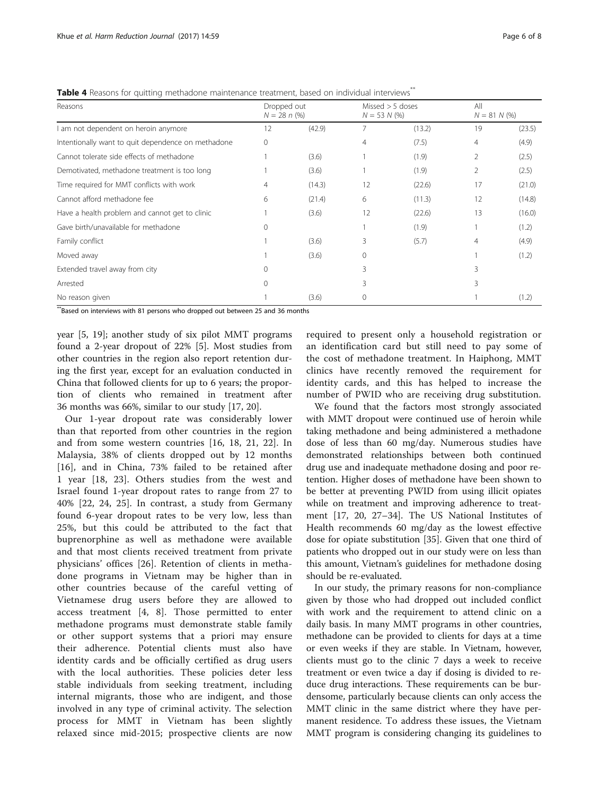| Reasons                                            | Dropped out<br>$N = 28 n$ (%) |        | Missed $>$ 5 doses<br>$N = 53 N$ (%) |        | All<br>$N = 81 N$ (%) |        |
|----------------------------------------------------|-------------------------------|--------|--------------------------------------|--------|-----------------------|--------|
| I am not dependent on heroin anymore               | 12                            | (42.9) |                                      | (13.2) | 19                    | (23.5) |
| Intentionally want to quit dependence on methadone | $\mathbf{0}$                  |        | 4                                    | (7.5)  | $\overline{4}$        | (4.9)  |
| Cannot tolerate side effects of methadone          |                               | (3.6)  |                                      | (1.9)  | 2                     | (2.5)  |
| Demotivated, methadone treatment is too long       |                               | (3.6)  |                                      | (1.9)  | 2                     | (2.5)  |
| Time required for MMT conflicts with work          | 4                             | (14.3) | 12                                   | (22.6) | 17                    | (21.0) |
| Cannot afford methadone fee                        | 6                             | (21.4) | 6                                    | (11.3) | 12                    | (14.8) |
| Have a health problem and cannot get to clinic     |                               | (3.6)  | 12                                   | (22.6) | 13                    | (16.0) |
| Gave birth/unavailable for methadone               | $\Omega$                      |        |                                      | (1.9)  |                       | (1.2)  |
| Family conflict                                    |                               | (3.6)  | 3                                    | (5.7)  | 4                     | (4.9)  |
| Moved away                                         |                               | (3.6)  | $\Omega$                             |        |                       | (1.2)  |
| Extended travel away from city                     | 0                             |        | 3                                    |        | 3                     |        |
| Arrested                                           | $\Omega$                      |        | 3                                    |        | 3                     |        |
| No reason given                                    |                               | (3.6)  | 0                                    |        |                       | (1.2)  |

<span id="page-5-0"></span>Table 4 Reasons for quitting methadone maintenance treatment, based on individual interviews<sup>\*\*</sup>

\*\*Based on interviews with 81 persons who dropped out between 25 and 36 months

year [[5, 19\]](#page-7-0); another study of six pilot MMT programs found a 2-year dropout of 22% [[5\]](#page-7-0). Most studies from other countries in the region also report retention during the first year, except for an evaluation conducted in China that followed clients for up to 6 years; the proportion of clients who remained in treatment after 36 months was 66%, similar to our study [\[17, 20\]](#page-7-0).

Our 1-year dropout rate was considerably lower than that reported from other countries in the region and from some western countries [\[16](#page-7-0), [18](#page-7-0), [21, 22\]](#page-7-0). In Malaysia, 38% of clients dropped out by 12 months [[16\]](#page-7-0), and in China, 73% failed to be retained after 1 year [[18, 23](#page-7-0)]. Others studies from the west and Israel found 1-year dropout rates to range from 27 to 40% [[22, 24, 25\]](#page-7-0). In contrast, a study from Germany found 6-year dropout rates to be very low, less than 25%, but this could be attributed to the fact that buprenorphine as well as methadone were available and that most clients received treatment from private physicians' offices [[26\]](#page-7-0). Retention of clients in methadone programs in Vietnam may be higher than in other countries because of the careful vetting of Vietnamese drug users before they are allowed to access treatment [[4, 8](#page-7-0)]. Those permitted to enter methadone programs must demonstrate stable family or other support systems that a priori may ensure their adherence. Potential clients must also have identity cards and be officially certified as drug users with the local authorities. These policies deter less stable individuals from seeking treatment, including internal migrants, those who are indigent, and those involved in any type of criminal activity. The selection process for MMT in Vietnam has been slightly relaxed since mid-2015; prospective clients are now required to present only a household registration or an identification card but still need to pay some of the cost of methadone treatment. In Haiphong, MMT clinics have recently removed the requirement for identity cards, and this has helped to increase the number of PWID who are receiving drug substitution.

We found that the factors most strongly associated with MMT dropout were continued use of heroin while taking methadone and being administered a methadone dose of less than 60 mg/day. Numerous studies have demonstrated relationships between both continued drug use and inadequate methadone dosing and poor retention. Higher doses of methadone have been shown to be better at preventing PWID from using illicit opiates while on treatment and improving adherence to treatment [[17, 20](#page-7-0), [27](#page-7-0)–[34\]](#page-7-0). The US National Institutes of Health recommends 60 mg/day as the lowest effective dose for opiate substitution [\[35](#page-7-0)]. Given that one third of patients who dropped out in our study were on less than this amount, Vietnam's guidelines for methadone dosing should be re-evaluated.

In our study, the primary reasons for non-compliance given by those who had dropped out included conflict with work and the requirement to attend clinic on a daily basis. In many MMT programs in other countries, methadone can be provided to clients for days at a time or even weeks if they are stable. In Vietnam, however, clients must go to the clinic 7 days a week to receive treatment or even twice a day if dosing is divided to reduce drug interactions. These requirements can be burdensome, particularly because clients can only access the MMT clinic in the same district where they have permanent residence. To address these issues, the Vietnam MMT program is considering changing its guidelines to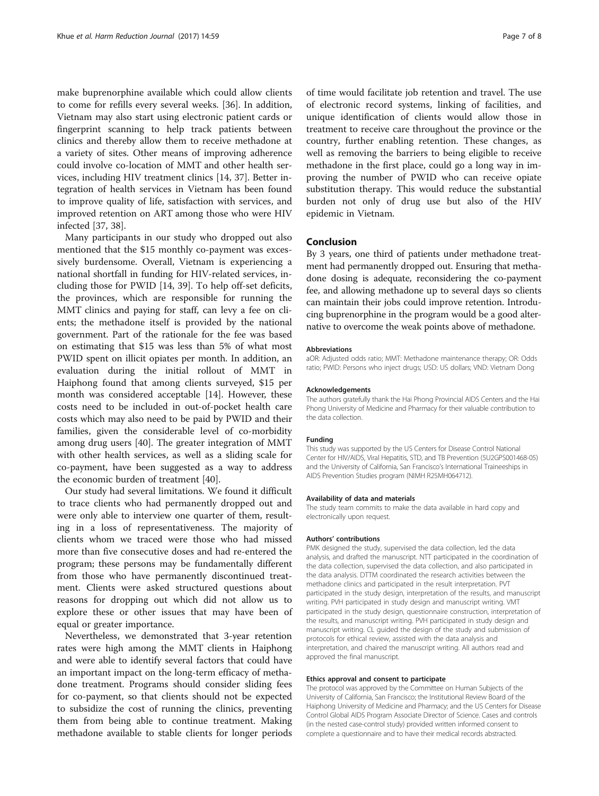make buprenorphine available which could allow clients to come for refills every several weeks. [\[36\]](#page-7-0). In addition, Vietnam may also start using electronic patient cards or fingerprint scanning to help track patients between clinics and thereby allow them to receive methadone at a variety of sites. Other means of improving adherence could involve co-location of MMT and other health services, including HIV treatment clinics [\[14](#page-7-0), [37](#page-7-0)]. Better integration of health services in Vietnam has been found to improve quality of life, satisfaction with services, and improved retention on ART among those who were HIV infected [\[37](#page-7-0), [38](#page-7-0)].

Many participants in our study who dropped out also mentioned that the \$15 monthly co-payment was excessively burdensome. Overall, Vietnam is experiencing a national shortfall in funding for HIV-related services, including those for PWID [[14](#page-7-0), [39\]](#page-7-0). To help off-set deficits, the provinces, which are responsible for running the MMT clinics and paying for staff, can levy a fee on clients; the methadone itself is provided by the national government. Part of the rationale for the fee was based on estimating that \$15 was less than 5% of what most PWID spent on illicit opiates per month. In addition, an evaluation during the initial rollout of MMT in Haiphong found that among clients surveyed, \$15 per month was considered acceptable [\[14\]](#page-7-0). However, these costs need to be included in out-of-pocket health care costs which may also need to be paid by PWID and their families, given the considerable level of co-morbidity among drug users [\[40](#page-7-0)]. The greater integration of MMT with other health services, as well as a sliding scale for co-payment, have been suggested as a way to address the economic burden of treatment [\[40](#page-7-0)].

Our study had several limitations. We found it difficult to trace clients who had permanently dropped out and were only able to interview one quarter of them, resulting in a loss of representativeness. The majority of clients whom we traced were those who had missed more than five consecutive doses and had re-entered the program; these persons may be fundamentally different from those who have permanently discontinued treatment. Clients were asked structured questions about reasons for dropping out which did not allow us to explore these or other issues that may have been of equal or greater importance.

Nevertheless, we demonstrated that 3-year retention rates were high among the MMT clients in Haiphong and were able to identify several factors that could have an important impact on the long-term efficacy of methadone treatment. Programs should consider sliding fees for co-payment, so that clients should not be expected to subsidize the cost of running the clinics, preventing them from being able to continue treatment. Making methadone available to stable clients for longer periods

of time would facilitate job retention and travel. The use of electronic record systems, linking of facilities, and unique identification of clients would allow those in treatment to receive care throughout the province or the country, further enabling retention. These changes, as well as removing the barriers to being eligible to receive methadone in the first place, could go a long way in improving the number of PWID who can receive opiate substitution therapy. This would reduce the substantial burden not only of drug use but also of the HIV epidemic in Vietnam.

# Conclusion

By 3 years, one third of patients under methadone treatment had permanently dropped out. Ensuring that methadone dosing is adequate, reconsidering the co-payment fee, and allowing methadone up to several days so clients can maintain their jobs could improve retention. Introducing buprenorphine in the program would be a good alternative to overcome the weak points above of methadone.

#### Abbreviations

aOR: Adjusted odds ratio; MMT: Methadone maintenance therapy; OR: Odds ratio; PWID: Persons who inject drugs; USD: US dollars; VND: Vietnam Dong

#### Acknowledgements

The authors gratefully thank the Hai Phong Provincial AIDS Centers and the Hai Phong University of Medicine and Pharmacy for their valuable contribution to the data collection.

#### Funding

This study was supported by the US Centers for Disease Control National Center for HIV/AIDS, Viral Hepatitis, STD, and TB Prevention (5U2GPS001468-05) and the University of California, San Francisco's International Traineeships in AIDS Prevention Studies program (NIMH R25MH064712).

#### Availability of data and materials

The study team commits to make the data available in hard copy and electronically upon request.

#### Authors' contributions

PMK designed the study, supervised the data collection, led the data analysis, and drafted the manuscript. NTT participated in the coordination of the data collection, supervised the data collection, and also participated in the data analysis. DTTM coordinated the research activities between the methadone clinics and participated in the result interpretation. PVT participated in the study design, interpretation of the results, and manuscript writing. PVH participated in study design and manuscript writing. VMT participated in the study design, questionnaire construction, interpretation of the results, and manuscript writing. PVH participated in study design and manuscript writing. CL guided the design of the study and submission of protocols for ethical review, assisted with the data analysis and interpretation, and chaired the manuscript writing. All authors read and approved the final manuscript.

# Ethics approval and consent to participate

The protocol was approved by the Committee on Human Subjects of the University of California, San Francisco; the Institutional Review Board of the Haiphong University of Medicine and Pharmacy; and the US Centers for Disease Control Global AIDS Program Associate Director of Science. Cases and controls (in the nested case-control study) provided written informed consent to complete a questionnaire and to have their medical records abstracted.